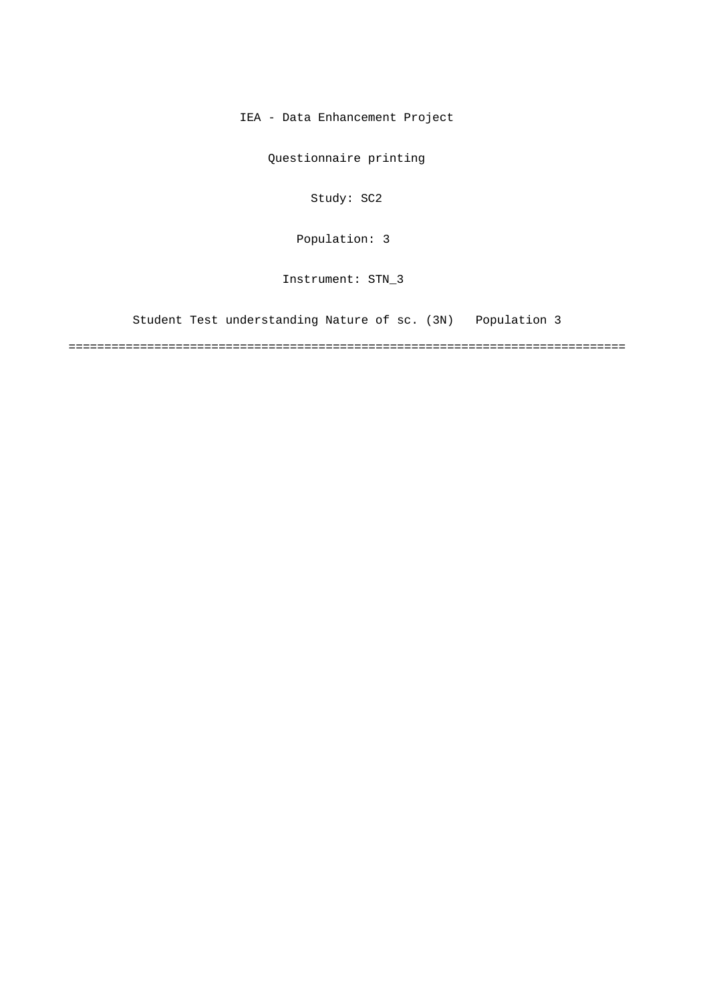IEA - Data Enhancement Project

Questionnaire printing

Study: SC2

[Population: 3](#page-2-0) 

Instrument: STN\_3

[Student Test understanding Nature of sc. \(3N\) Population 3](#page-2-0)

==============================================================================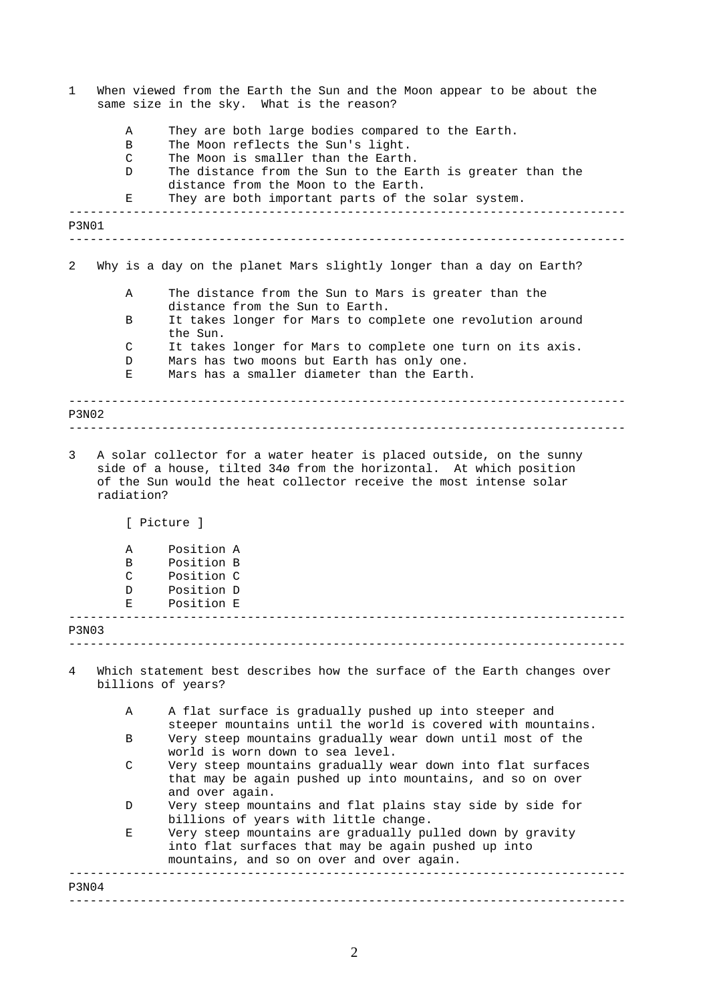| 1            |                                     | When viewed from the Earth the Sun and the Moon appear to be about the<br>same size in the sky. What is the reason?                                                          |
|--------------|-------------------------------------|------------------------------------------------------------------------------------------------------------------------------------------------------------------------------|
|              | Α<br>B<br>$\mathsf{C}$              | They are both large bodies compared to the Earth.<br>The Moon reflects the Sun's light.<br>The Moon is smaller than the Earth.                                               |
|              | D                                   | The distance from the Sun to the Earth is greater than the<br>distance from the Moon to the Earth.                                                                           |
|              | Е                                   | They are both important parts of the solar system.<br><u> 1999 - Alexandr Alexandr Alexandr Alexandr Alexandr Alexandr Alexandr Alexandr Alexandr Alexandr Alexandr Alex</u> |
| <b>P3N01</b> |                                     |                                                                                                                                                                              |
| 2            |                                     | Why is a day on the planet Mars slightly longer than a day on Earth?                                                                                                         |
|              | Α                                   | The distance from the Sun to Mars is greater than the<br>distance from the Sun to Earth.                                                                                     |
|              | В                                   | It takes longer for Mars to complete one revolution around                                                                                                                   |
|              | C                                   | the Sun.<br>It takes longer for Mars to complete one turn on its axis.                                                                                                       |
|              | D<br>Е                              | Mars has two moons but Earth has only one.<br>Mars has a smaller diameter than the Earth.                                                                                    |
| P3N02        |                                     |                                                                                                                                                                              |
|              | radiation?<br>Α<br>B<br>C<br>D<br>Е | of the Sun would the heat collector receive the most intense solar<br>[ Picture ]<br>Position A<br>Position B<br>Position C<br>Position D<br>Position E                      |
| P3N03        |                                     |                                                                                                                                                                              |
| 4            |                                     | Which statement best describes how the surface of the Earth changes over<br>billions of years?                                                                               |
|              | Α                                   | A flat surface is gradually pushed up into steeper and<br>steeper mountains until the world is covered with mountains.                                                       |
|              | B                                   | Very steep mountains gradually wear down until most of the<br>world is worn down to sea level.                                                                               |
|              | $\mathsf{C}$                        | Very steep mountains gradually wear down into flat surfaces<br>that may be again pushed up into mountains, and so on over<br>and over again.                                 |
|              | D                                   | Very steep mountains and flat plains stay side by side for<br>billions of years with little change.                                                                          |
|              | Ε                                   | Very steep mountains are gradually pulled down by gravity<br>into flat surfaces that may be again pushed up into<br>mountains, and so on over and over again.                |
| P3N04        |                                     |                                                                                                                                                                              |
|              |                                     |                                                                                                                                                                              |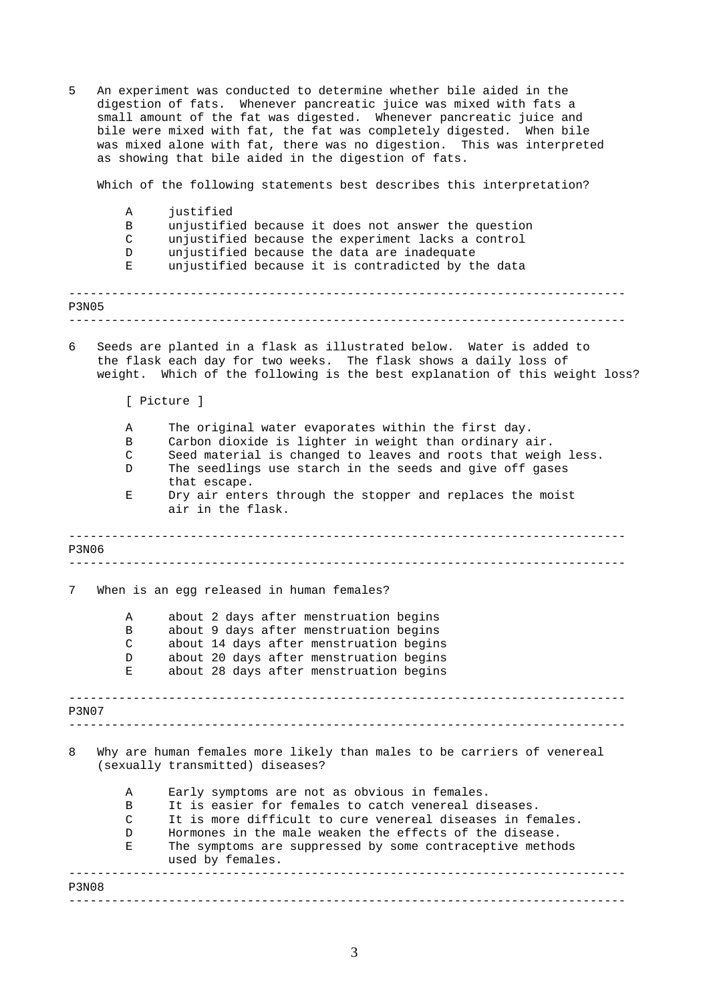<span id="page-2-0"></span>------------------------------------------------------------------------------ ------------------------------------------------------------------------------ ------------------------------------------------------------------------------ ------------------------------------------------------------------------------ ------------------------------------------------------------------------------ ------------------------------------------------------------------------------ ------------------------------------------------------------------------------ ------------------------------------------------------------------------------ 5 An experiment was conducted to determine whether bile aided in the digestion of fats. Whenever pancreatic juice was mixed with fats a small amount of the fat was digested. Whenever pancreatic juice and bile were mixed with fat, the fat was completely digested. When bile was mixed alone with fat, there was no digestion. This was interpreted as showing that bile aided in the digestion of fats. Which of the following statements best describes this interpretation? A justified B unjustified because it does not answer the question C unjustified because the experiment lacks a control D unjustified because the data are inadequate E unjustified because it is contradicted by the data P3N05 6 Seeds are planted in a flask as illustrated below. Water is added to the flask each day for two weeks. The flask shows a daily loss of weight. Which of the following is the best explanation of this weight loss? [ Picture ] A The original water evaporates within the first day. B Carbon dioxide is lighter in weight than ordinary air. C Seed material is changed to leaves and roots that weigh less. D The seedlings use starch in the seeds and give off gases that escape. E Dry air enters through the stopper and replaces the moist air in the flask. P3N06 7 When is an egg released in human females? A about 2 days after menstruation begins B about 9 days after menstruation begins C about 14 days after menstruation begins D about 20 days after menstruation begins E about 28 days after menstruation begins P3N07 8 Why are human females more likely than males to be carriers of venereal (sexually transmitted) diseases? A Early symptoms are not as obvious in females. B It is easier for females to catch venereal diseases. C It is more difficult to cure venereal diseases in females. D Hormones in the male weaken the effects of the disease. E The symptoms are suppressed by some contraceptive methods used by females. P3N08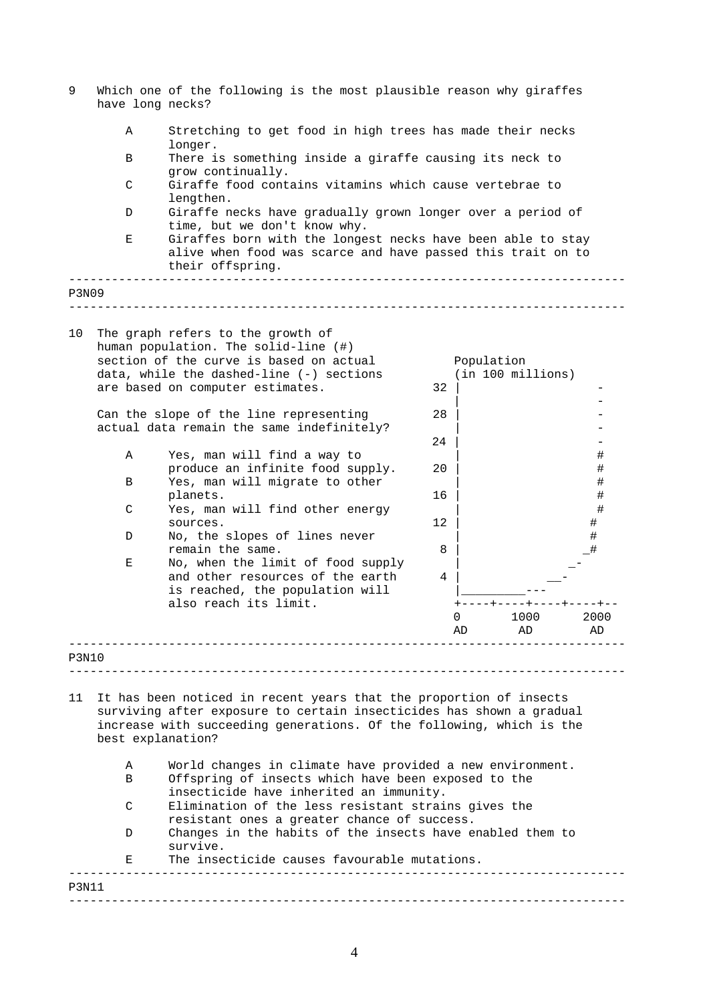| 9            | have long necks?                      | Which one of the following is the most plausible reason why giraffes                                                                                                                                                                                                                                                                                                                                                                                                                                                                                             |                            |            |                   |                  |
|--------------|---------------------------------------|------------------------------------------------------------------------------------------------------------------------------------------------------------------------------------------------------------------------------------------------------------------------------------------------------------------------------------------------------------------------------------------------------------------------------------------------------------------------------------------------------------------------------------------------------------------|----------------------------|------------|-------------------|------------------|
|              | Α                                     | Stretching to get food in high trees has made their necks<br>longer.                                                                                                                                                                                                                                                                                                                                                                                                                                                                                             |                            |            |                   |                  |
|              | В                                     | There is something inside a giraffe causing its neck to<br>grow continually.                                                                                                                                                                                                                                                                                                                                                                                                                                                                                     |                            |            |                   |                  |
|              | $\mathsf{C}$                          | Giraffe food contains vitamins which cause vertebrae to<br>lengthen.                                                                                                                                                                                                                                                                                                                                                                                                                                                                                             |                            |            |                   |                  |
|              | D                                     | Giraffe necks have gradually grown longer over a period of<br>time, but we don't know why.                                                                                                                                                                                                                                                                                                                                                                                                                                                                       |                            |            |                   |                  |
|              | Е                                     | Giraffes born with the longest necks have been able to stay<br>alive when food was scarce and have passed this trait on to<br>their offspring.                                                                                                                                                                                                                                                                                                                                                                                                                   |                            |            |                   |                  |
| <b>P3N09</b> |                                       |                                                                                                                                                                                                                                                                                                                                                                                                                                                                                                                                                                  |                            |            |                   |                  |
| 10           | Α<br>В                                | The graph refers to the growth of<br>human population. The solid-line (#)<br>section of the curve is based on actual<br>data, while the dashed-line (-) sections<br>are based on computer estimates.<br>Can the slope of the line representing<br>actual data remain the same indefinitely?<br>Yes, man will find a way to<br>produce an infinite food supply.<br>Yes, man will migrate to other<br>planets.                                                                                                                                                     | 32<br>28<br>24<br>20<br>16 | Population | (in 100 millions) | #<br>#<br>#<br># |
|              | C                                     | Yes, man will find other energy                                                                                                                                                                                                                                                                                                                                                                                                                                                                                                                                  | 12 <sup>2</sup>            |            |                   | #<br>$\#$        |
|              | D                                     | sources.<br>No, the slopes of lines never<br>remain the same.                                                                                                                                                                                                                                                                                                                                                                                                                                                                                                    |                            |            |                   | $\#$             |
|              | Е                                     | No, when the limit of food supply<br>and other resources of the earth<br>is reached, the population will<br>also reach its limit.                                                                                                                                                                                                                                                                                                                                                                                                                                | 8<br>4                     | 0<br>AD    | 1000<br>AD.       | 2000<br>AD       |
| P3N10        |                                       |                                                                                                                                                                                                                                                                                                                                                                                                                                                                                                                                                                  |                            |            |                   |                  |
| 11           | best explanation?<br>Α<br>B<br>C<br>D | It has been noticed in recent years that the proportion of insects<br>surviving after exposure to certain insecticides has shown a gradual<br>increase with succeeding generations. Of the following, which is the<br>World changes in climate have provided a new environment.<br>Offspring of insects which have been exposed to the<br>insecticide have inherited an immunity.<br>Elimination of the less resistant strains gives the<br>resistant ones a greater chance of success.<br>Changes in the habits of the insects have enabled them to<br>survive. |                            |            |                   |                  |
|              | Е                                     | The insecticide causes favourable mutations.                                                                                                                                                                                                                                                                                                                                                                                                                                                                                                                     |                            |            |                   |                  |

------------------------------------------------------------------------------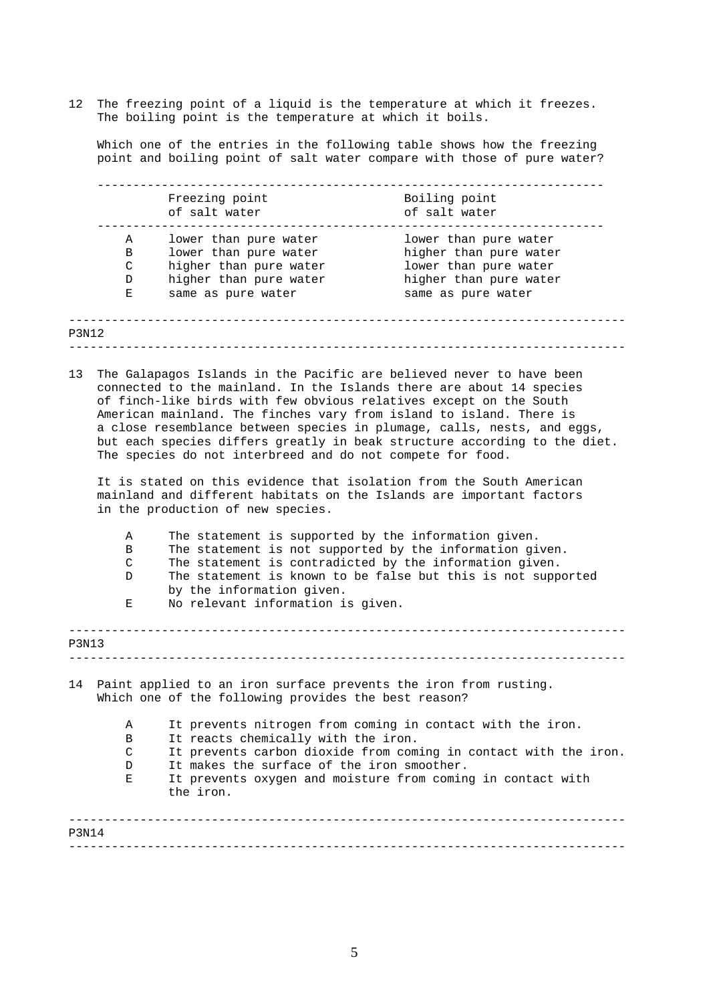12 The freezing point of a liquid is the temperature at which it freezes. The boiling point is the temperature at which it boils.

Which one of the entries in the following table shows how the freezing point and boiling point of salt water compare with those of pure water?

| lower than pure water<br>higher than pure water |
|-------------------------------------------------|
|                                                 |
|                                                 |
| lower than pure water                           |
| higher than pure water                          |
| same as pure water                              |
|                                                 |
|                                                 |

13 The Galapagos Islands in the Pacific are believed never to have been connected to the mainland. In the Islands there are about 14 species of finch-like birds with few obvious relatives except on the South American mainland. The finches vary from island to island. There is a close resemblance between species in plumage, calls, nests, and eggs, but each species differs greatly in beak structure according to the diet. The species do not interbreed and do not compete for food.

It is stated on this evidence that isolation from the South American mainland and different habitats on the Islands are important factors in the production of new species.

|                                                              | A                                                                | The statement is supported by the information given.                                      |  |  |  |
|--------------------------------------------------------------|------------------------------------------------------------------|-------------------------------------------------------------------------------------------|--|--|--|
|                                                              | B                                                                | The statement is not supported by the information given.                                  |  |  |  |
| The statement is contradicted by the information given.<br>C |                                                                  |                                                                                           |  |  |  |
|                                                              | D                                                                | The statement is known to be false but this is not supported<br>by the information given. |  |  |  |
|                                                              | Е                                                                | No relevant information is given.                                                         |  |  |  |
| <b>P3N13</b>                                                 |                                                                  |                                                                                           |  |  |  |
|                                                              |                                                                  |                                                                                           |  |  |  |
|                                                              |                                                                  |                                                                                           |  |  |  |
| 14                                                           | Paint applied to an iron surface prevents the iron from rusting. |                                                                                           |  |  |  |
|                                                              |                                                                  | Which one of the following provides the best reason?                                      |  |  |  |
|                                                              | A                                                                | It prevents nitrogen from coming in contact with the iron.                                |  |  |  |
|                                                              | B                                                                | It reacts chemically with the iron.                                                       |  |  |  |
|                                                              | C                                                                | It prevents carbon dioxide from coming in contact with the iron.                          |  |  |  |
|                                                              | D.                                                               | It makes the surface of the iron smoother.                                                |  |  |  |
|                                                              | Е                                                                | It prevents oxygen and moisture from coming in contact with                               |  |  |  |
|                                                              |                                                                  | the iron.                                                                                 |  |  |  |
|                                                              |                                                                  |                                                                                           |  |  |  |
|                                                              |                                                                  |                                                                                           |  |  |  |
|                                                              |                                                                  |                                                                                           |  |  |  |

------------------------------------------------------------------------------

P3N14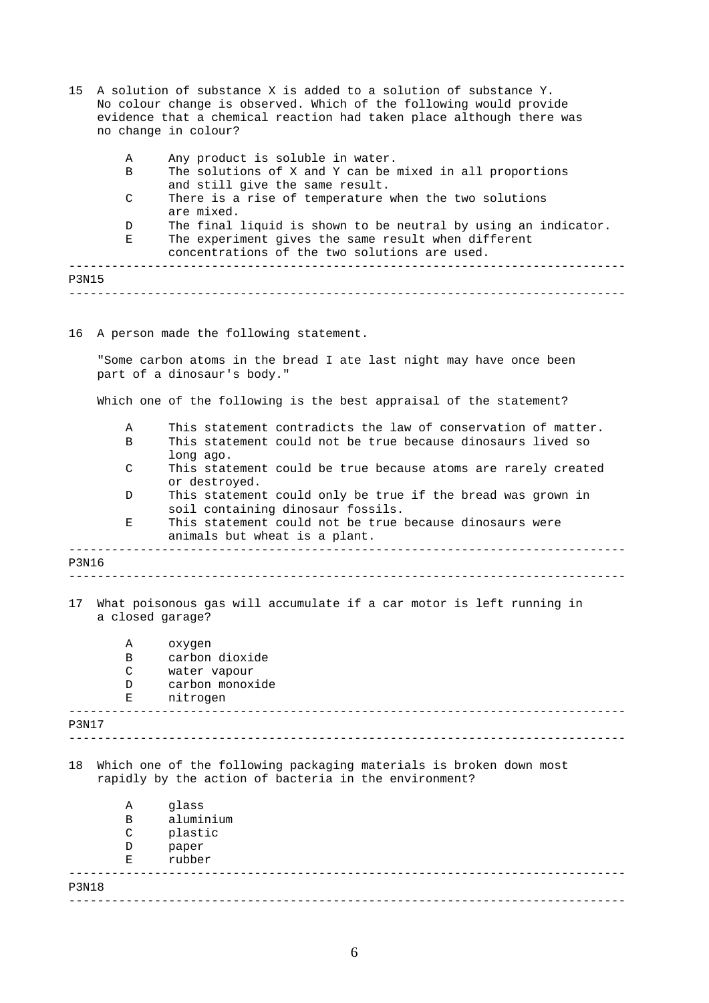- ------------------------------------------------------------------------------ ------------------------------------------------------------------------------ 15 A solution of substance X is added to a solution of substance Y. No colour change is observed. Which of the following would provide evidence that a chemical reaction had taken place although there was no change in colour? A Any product is soluble in water. B The solutions of X and Y can be mixed in all proportions and still give the same result. C There is a rise of temperature when the two solutions are mixed. D The final liquid is shown to be neutral by using an indicator. E The experiment gives the same result when different concentrations of the two solutions are used. P3N15
- 16 A person made the following statement.

"Some carbon atoms in the bread I ate last night may have once been part of a dinosaur's body."

Which one of the following is the best appraisal of the statement?

|              | Α                | This statement contradicts the law of conservation of matter.                                                               |
|--------------|------------------|-----------------------------------------------------------------------------------------------------------------------------|
|              | B                | This statement could not be true because dinosaurs lived so                                                                 |
|              | $\mathcal{C}$    | long ago.<br>This statement could be true because atoms are rarely created<br>or destroyed.                                 |
|              | D                | This statement could only be true if the bread was grown in<br>soil containing dinosaur fossils.                            |
|              | Е                | This statement could not be true because dinosaurs were<br>animals but wheat is a plant.                                    |
| <b>P3N16</b> |                  | ________________________________                                                                                            |
|              |                  |                                                                                                                             |
| 17           | a closed garage? | What poisonous gas will accumulate if a car motor is left running in                                                        |
|              | Α                | oxygen                                                                                                                      |
|              | B                | carbon dioxide                                                                                                              |
|              | C                | water vapour                                                                                                                |
|              | D                | carbon monoxide                                                                                                             |
|              | Е                | nitrogen                                                                                                                    |
| <b>P3N17</b> |                  |                                                                                                                             |
| 18           |                  | Which one of the following packaging materials is broken down most<br>rapidly by the action of bacteria in the environment? |
|              | Α                | qlass                                                                                                                       |
|              | В                | aluminium                                                                                                                   |
|              | C                | plastic                                                                                                                     |
|              | D                | paper                                                                                                                       |
|              | Е                | rubber                                                                                                                      |
| <b>P3N18</b> |                  |                                                                                                                             |
|              |                  |                                                                                                                             |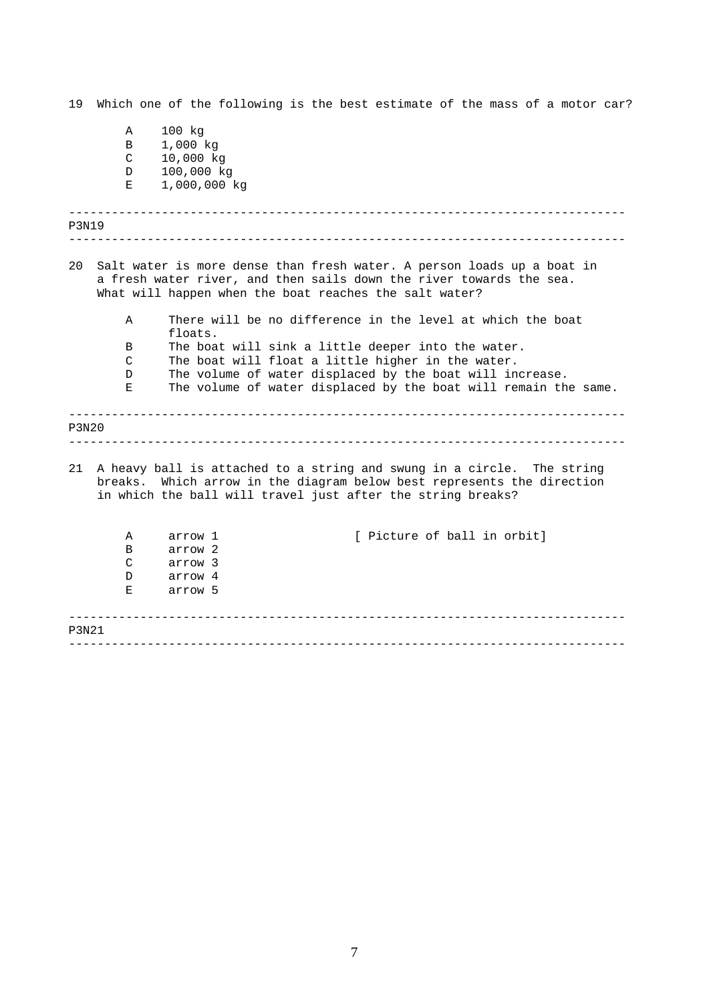19 Which one of the following is the best estimate of the mass of a motor car?

|              | Α             | 100 kg                                                                                                                                                                                                          |
|--------------|---------------|-----------------------------------------------------------------------------------------------------------------------------------------------------------------------------------------------------------------|
|              | В             | 1,000 kg                                                                                                                                                                                                        |
|              | $\mathsf C$   | 10,000 kg                                                                                                                                                                                                       |
|              | D             | 100,000 kg                                                                                                                                                                                                      |
|              | Е             | 1,000,000 kg                                                                                                                                                                                                    |
|              |               |                                                                                                                                                                                                                 |
| P3N19        |               |                                                                                                                                                                                                                 |
| 20           |               | Salt water is more dense than fresh water. A person loads up a boat in<br>a fresh water river, and then sails down the river towards the sea.<br>What will happen when the boat reaches the salt water?         |
|              | A             | There will be no difference in the level at which the boat<br>floats.                                                                                                                                           |
|              | В             | The boat will sink a little deeper into the water.                                                                                                                                                              |
|              | $\mathcal{C}$ | The boat will float a little higher in the water.                                                                                                                                                               |
|              | D             | The volume of water displaced by the boat will increase.                                                                                                                                                        |
|              | Ε             | The volume of water displaced by the boat will remain the same.                                                                                                                                                 |
| <b>P3N20</b> |               |                                                                                                                                                                                                                 |
| 21           |               | A heavy ball is attached to a string and swung in a circle. The string<br>breaks. Which arrow in the diagram below best represents the direction<br>in which the ball will travel just after the string breaks? |
|              | Α             | [ Picture of ball in orbit]<br>arrow 1                                                                                                                                                                          |
|              | B             | arrow 2                                                                                                                                                                                                         |
|              | C             | arrow 3                                                                                                                                                                                                         |
|              | D             | arrow 4                                                                                                                                                                                                         |
|              | Е             | arrow 5                                                                                                                                                                                                         |
| P3N21        |               |                                                                                                                                                                                                                 |
|              |               |                                                                                                                                                                                                                 |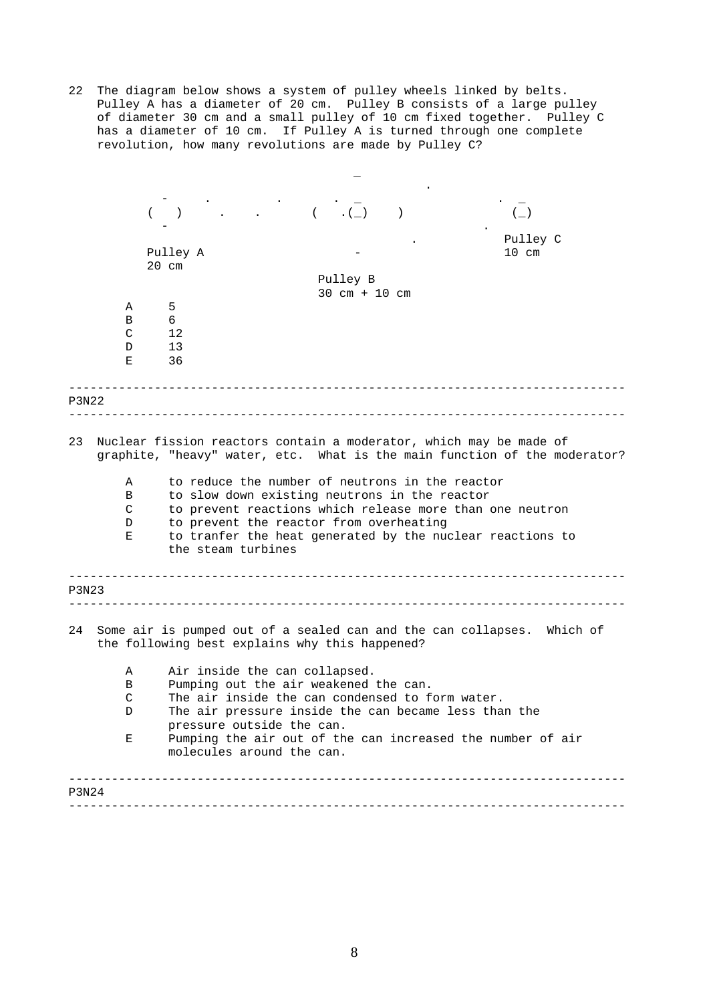22 The diagram below shows a system of pulley wheels linked by belts. Pulley A has a diameter of 20 cm. Pulley B consists of a large pulley of diameter 30 cm and a small pulley of 10 cm fixed together. Pulley C has a diameter of 10 cm. If Pulley A is turned through one complete revolution, how many revolutions are made by Pulley C?

|       |              |                                                 |                                 | $\left(\_\right)$                                                                                                                               |
|-------|--------------|-------------------------------------------------|---------------------------------|-------------------------------------------------------------------------------------------------------------------------------------------------|
|       |              |                                                 |                                 | Pulley C                                                                                                                                        |
|       |              | Pulley A                                        |                                 | $10 \text{ cm}$                                                                                                                                 |
|       |              | $20 \text{ cm}$                                 |                                 |                                                                                                                                                 |
|       |              |                                                 | Pulley B                        |                                                                                                                                                 |
|       |              |                                                 | $30 \text{ cm} + 10 \text{ cm}$ |                                                                                                                                                 |
|       | Α            | 5                                               |                                 |                                                                                                                                                 |
|       | В            | 6                                               |                                 |                                                                                                                                                 |
|       | C            | 12                                              |                                 |                                                                                                                                                 |
|       | D            | 13                                              |                                 |                                                                                                                                                 |
|       | Е            | 36                                              |                                 |                                                                                                                                                 |
| P3N22 |              |                                                 |                                 |                                                                                                                                                 |
|       |              |                                                 |                                 |                                                                                                                                                 |
| 23    |              |                                                 |                                 | Nuclear fission reactors contain a moderator, which may be made of<br>graphite, "heavy" water, etc. What is the main function of the moderator? |
|       | A            | to reduce the number of neutrons in the reactor |                                 |                                                                                                                                                 |
|       | В            | to slow down existing neutrons in the reactor   |                                 |                                                                                                                                                 |
|       | $\mathsf{C}$ |                                                 |                                 | to prevent reactions which release more than one neutron                                                                                        |
|       | D            | to prevent the reactor from overheating         |                                 |                                                                                                                                                 |
|       | Е            | the steam turbines                              |                                 | to tranfer the heat generated by the nuclear reactions to                                                                                       |
| P3N23 |              |                                                 |                                 |                                                                                                                                                 |
| 24    |              | the following best explains why this happened?  |                                 | Some air is pumped out of a sealed can and the can collapses. Which of                                                                          |
|       | Α            | Air inside the can collapsed.                   |                                 |                                                                                                                                                 |
|       | В            | Pumping out the air weakened the can.           |                                 |                                                                                                                                                 |
|       | C            | The air inside the can condensed to form water. |                                 |                                                                                                                                                 |
|       | D            |                                                 |                                 | The air pressure inside the can became less than the                                                                                            |
|       |              | pressure outside the can.                       |                                 |                                                                                                                                                 |
|       | Ε            | molecules around the can.                       |                                 | Pumping the air out of the can increased the number of air                                                                                      |
| P3N24 |              |                                                 |                                 |                                                                                                                                                 |
|       |              |                                                 |                                 |                                                                                                                                                 |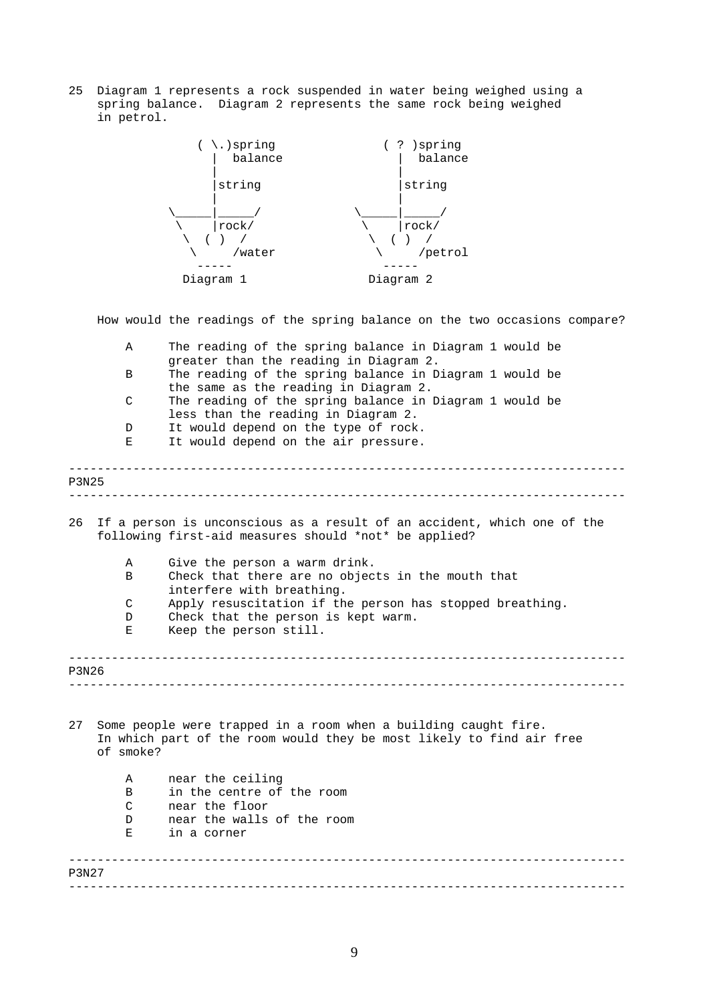25 Diagram 1 represents a rock suspended in water being weighed using a spring balance. Diagram 2 represents the same rock being weighed in petrol.



How would the readings of the spring balance on the two occasions compare?

|                                                                                                                                        | Α         | The reading of the spring balance in Diagram 1 would be                                                                                    |  |
|----------------------------------------------------------------------------------------------------------------------------------------|-----------|--------------------------------------------------------------------------------------------------------------------------------------------|--|
|                                                                                                                                        | B         | greater than the reading in Diagram 2.<br>The reading of the spring balance in Diagram 1 would be<br>the same as the reading in Diagram 2. |  |
|                                                                                                                                        | C         | The reading of the spring balance in Diagram 1 would be<br>less than the reading in Diagram 2.                                             |  |
|                                                                                                                                        | D         | It would depend on the type of rock.                                                                                                       |  |
|                                                                                                                                        | Е         | It would depend on the air pressure.                                                                                                       |  |
| P3N25                                                                                                                                  |           |                                                                                                                                            |  |
|                                                                                                                                        |           |                                                                                                                                            |  |
| 26<br>If a person is unconscious as a result of an accident, which one of the<br>following first-aid measures should *not* be applied? |           |                                                                                                                                            |  |
|                                                                                                                                        | Α         | Give the person a warm drink.                                                                                                              |  |
|                                                                                                                                        | B         | Check that there are no objects in the mouth that<br>interfere with breathing.                                                             |  |
|                                                                                                                                        | C         | Apply resuscitation if the person has stopped breathing.                                                                                   |  |
|                                                                                                                                        | D         | Check that the person is kept warm.                                                                                                        |  |
|                                                                                                                                        | Е         | Keep the person still.                                                                                                                     |  |
| P3N26                                                                                                                                  |           |                                                                                                                                            |  |
|                                                                                                                                        |           |                                                                                                                                            |  |
| 27                                                                                                                                     | of smoke? | Some people were trapped in a room when a building caught fire.<br>In which part of the room would they be most likely to find air free    |  |
|                                                                                                                                        | Α         | near the ceiling                                                                                                                           |  |
|                                                                                                                                        | B         | in the centre of the room                                                                                                                  |  |
|                                                                                                                                        | C         | near the floor                                                                                                                             |  |
|                                                                                                                                        | D         | near the walls of the room                                                                                                                 |  |
|                                                                                                                                        | Ε         | in a corner                                                                                                                                |  |
| P3N27                                                                                                                                  |           |                                                                                                                                            |  |
|                                                                                                                                        |           | ______________________________                                                                                                             |  |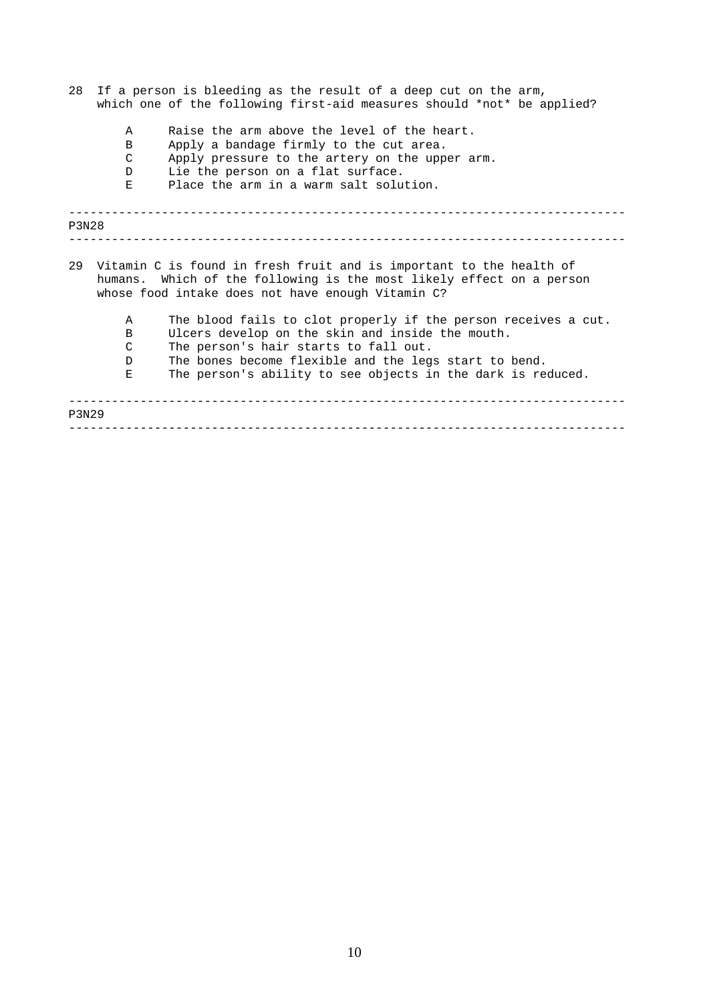- 28 If a person is bleeding as the result of a deep cut on the arm, which one of the following first-aid measures should \*not\* be applied?
	- A Raise the arm above the level of the heart.<br>B Apply a bandage firmly to the cut area.
	- B Apply a bandage firmly to the cut area.<br>C Apply pressure to the artery on the upp
	- Apply pressure to the artery on the upper arm.
	- D Lie the person on a flat surface.<br>E Place the arm in a warm salt solu
	- Place the arm in a warm salt solution.

|       | <b>P3N28</b> |                                                                                                                                                                                                     |  |  |  |  |
|-------|--------------|-----------------------------------------------------------------------------------------------------------------------------------------------------------------------------------------------------|--|--|--|--|
|       |              |                                                                                                                                                                                                     |  |  |  |  |
|       |              | 29 Vitamin C is found in fresh fruit and is important to the health of<br>humans. Which of the following is the most likely effect on a person<br>whose food intake does not have enough Vitamin C? |  |  |  |  |
|       | Α            | The blood fails to clot properly if the person receives a cut.                                                                                                                                      |  |  |  |  |
|       | B            | Ulcers develop on the skin and inside the mouth.                                                                                                                                                    |  |  |  |  |
|       | C            | The person's hair starts to fall out.                                                                                                                                                               |  |  |  |  |
|       | D.           | The bones become flexible and the legs start to bend.                                                                                                                                               |  |  |  |  |
|       | Е            | The person's ability to see objects in the dark is reduced.                                                                                                                                         |  |  |  |  |
| P3N29 |              |                                                                                                                                                                                                     |  |  |  |  |